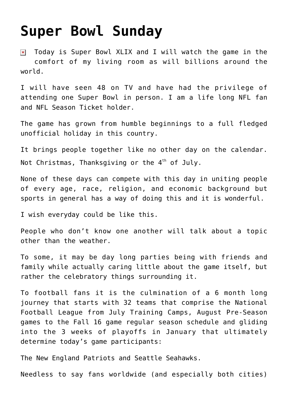## **[Super Bowl Sunday](https://bernardgoldberg.com/super-bowl-sunday/)**

Today is Super Bowl XLIX and I will watch the game in the  $\pmb{\times}$ comfort of my living room as will billions around the world.

I will have seen 48 on TV and have had the privilege of attending one Super Bowl in person. I am a life long NFL fan and NFL Season Ticket holder.

The game has grown from humble beginnings to a full fledged unofficial holiday in this country.

It brings people together like no other day on the calendar. Not Christmas, Thanksgiving or the  $4<sup>th</sup>$  of July.

None of these days can compete with this day in uniting people of every age, race, religion, and economic background but sports in general has a way of doing this and it is wonderful.

I wish everyday could be like this.

People who don't know one another will talk about a topic other than the weather.

To some, it may be day long parties being with friends and family while actually caring little about the game itself, but rather the celebratory things surrounding it.

To football fans it is the culmination of a 6 month long journey that starts with 32 teams that comprise the National Football League from July Training Camps, August Pre-Season games to the Fall 16 game regular season schedule and gliding into the 3 weeks of playoffs in January that ultimately determine today's game participants:

The New England Patriots and Seattle Seahawks.

Needless to say fans worldwide (and especially both cities)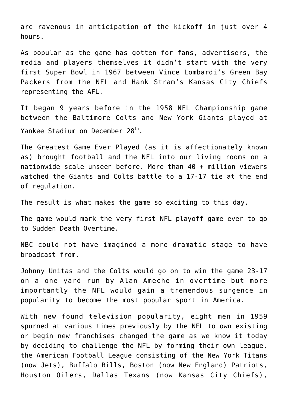are ravenous in anticipation of the kickoff in just over 4 hours.

As popular as the game has gotten for fans, advertisers, the media and players themselves it didn't start with the very first Super Bowl in 1967 between Vince Lombardi's Green Bay Packers from the NFL and Hank Stram's Kansas City Chiefs representing the AFL.

It began 9 years before in the 1958 NFL Championship game between the Baltimore Colts and New York Giants played at Yankee Stadium on December 28<sup>th</sup>.

The Greatest Game Ever Played (as it is affectionately known as) brought football and the NFL into our living rooms on a nationwide scale unseen before. More than 40 + million viewers watched the Giants and Colts battle to a 17-17 tie at the end of regulation.

The result is what makes the game so exciting to this day.

The game would mark the very first NFL playoff game ever to go to Sudden Death Overtime.

NBC could not have imagined a more dramatic stage to have broadcast from.

Johnny Unitas and the Colts would go on to win the game 23-17 on a one yard run by Alan Ameche in overtime but more importantly the NFL would gain a tremendous surgence in popularity to become the most popular sport in America.

With new found television popularity, eight men in 1959 spurned at various times previously by the NFL to own existing or begin new franchises changed the game as we know it today by deciding to challenge the NFL by forming their own league, the American Football League consisting of the New York Titans (now Jets), Buffalo Bills, Boston (now New England) Patriots, Houston Oilers, Dallas Texans (now Kansas City Chiefs),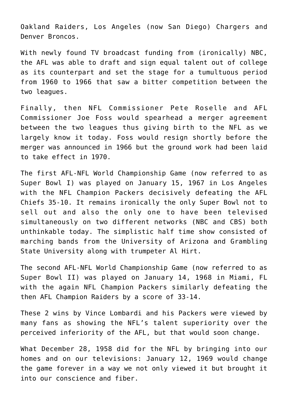Oakland Raiders, Los Angeles (now San Diego) Chargers and Denver Broncos.

With newly found TV broadcast funding from (ironically) NBC, the AFL was able to draft and sign equal talent out of college as its counterpart and set the stage for a tumultuous period from 1960 to 1966 that saw a bitter competition between the two leagues.

Finally, then NFL Commissioner Pete Roselle and AFL Commissioner Joe Foss would spearhead a merger agreement between the two leagues thus giving birth to the NFL as we largely know it today. Foss would resign shortly before the merger was announced in 1966 but the ground work had been laid to take effect in 1970.

The first AFL-NFL World Championship Game (now referred to as Super Bowl I) was played on January 15, 1967 in Los Angeles with the NFL Champion Packers decisively defeating the AFL Chiefs 35-10. It remains ironically the only Super Bowl not to sell out and also the only one to have been televised simultaneously on two different networks (NBC and CBS) both unthinkable today. The simplistic half time show consisted of marching bands from the University of Arizona and Grambling State University along with trumpeter Al Hirt.

The second AFL-NFL World Championship Game (now referred to as Super Bowl II) was played on January 14, 1968 in Miami, FL with the again NFL Champion Packers similarly defeating the then AFL Champion Raiders by a score of 33-14.

These 2 wins by Vince Lombardi and his Packers were viewed by many fans as showing the NFL's talent superiority over the perceived inferiority of the AFL, but that would soon change.

What December 28, 1958 did for the NFL by bringing into our homes and on our televisions: January 12, 1969 would change the game forever in a way we not only viewed it but brought it into our conscience and fiber.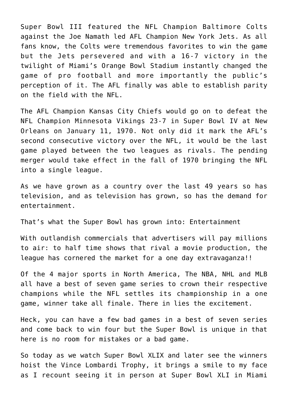Super Bowl III featured the NFL Champion Baltimore Colts against the Joe Namath led AFL Champion New York Jets. As all fans know, the Colts were tremendous favorites to win the game but the Jets persevered and with a 16-7 victory in the twilight of Miami's Orange Bowl Stadium instantly changed the game of pro football and more importantly the public's perception of it. The AFL finally was able to establish parity on the field with the NFL.

The AFL Champion Kansas City Chiefs would go on to defeat the NFL Champion Minnesota Vikings 23-7 in Super Bowl IV at New Orleans on January 11, 1970. Not only did it mark the AFL's second consecutive victory over the NFL, it would be the last game played between the two leagues as rivals. The pending merger would take effect in the fall of 1970 bringing the NFL into a single league.

As we have grown as a country over the last 49 years so has television, and as television has grown, so has the demand for entertainment.

That's what the Super Bowl has grown into: Entertainment

With outlandish commercials that advertisers will pay millions to air: to half time shows that rival a movie production, the league has cornered the market for a one day extravaganza!!

Of the 4 major sports in North America, The NBA, NHL and MLB all have a best of seven game series to crown their respective champions while the NFL settles its championship in a one game, winner take all finale. There in lies the excitement.

Heck, you can have a few bad games in a best of seven series and come back to win four but the Super Bowl is unique in that here is no room for mistakes or a bad game.

So today as we watch Super Bowl XLIX and later see the winners hoist the Vince Lombardi Trophy, it brings a smile to my face as I recount seeing it in person at Super Bowl XLI in Miami